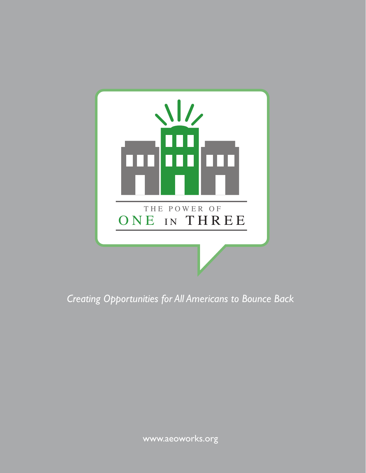

*Creating Opportunities for All Americans to Bounce Back*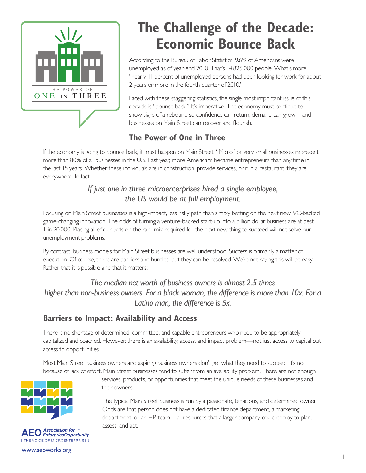

# **The Challenge of the Decade: Economic Bounce Back**

According to the Bureau of Labor Statistics, 9.6% of Americans were unemployed as of year-end 2010. That's 14,825,000 people. What's more, "nearly 11 percent of unemployed persons had been looking for work for about 2 years or more in the fourth quarter of 2010."

Faced with these staggering statistics, the single most important issue of this decade is "bounce back." It's imperative. The economy must continue to show signs of a rebound so confidence can return, demand can grow—and businesses on Main Street can recover and flourish.

## **The Power of One in Three**

If the economy is going to bounce back, it must happen on Main Street. "Micro" or very small businesses represent more than 80% of all businesses in the U.S. Last year, more Americans became entrepreneurs than any time in the last 15 years. Whether these individuals are in construction, provide services, or run a restaurant, they are everywhere. In fact…

#### *If just one in three microenterprises hired a single employee, the US would be at full employment.*

Focusing on Main Street businesses is a high-impact, less risky path than simply betting on the next new, VC-backed game-changing innovation. The odds of turning a venture-backed start-up into a billion dollar business are at best 1 in 20,000. Placing all of our bets on the rare mix required for the next new thing to succeed will not solve our unemployment problems.

By contrast, business models for Main Street businesses are well understood. Success is primarily a matter of execution. Of course, there are barriers and hurdles, but they can be resolved. We're not saying this will be easy. Rather that it is possible and that it matters:

*The median net worth of business owners is almost 2.5 times higher than non-business owners. For a black woman, the difference is more than 10x. For a Latino man, the difference is 5x.*

## **Barriers to Impact: Availability and Access**

There is no shortage of determined, committed, and capable entrepreneurs who need to be appropriately capitalized and coached. However, there is an availability, access, and impact problem—not just access to capital but access to opportunities.

Most Main Street business owners and aspiring business owners don't get what they need to succeed. It's not because of lack of effort. Main Street businesses tend to suffer from an availability problem. There are not enough





services, products, or opportunities that meet the unique needs of these businesses and their owners.

The typical Main Street business is run by a passionate, tenacious, and determined owner. Odds are that person does not have a dedicated finance department, a marketing department, or an HR team—all resources that a larger company could deploy to plan, assess, and act.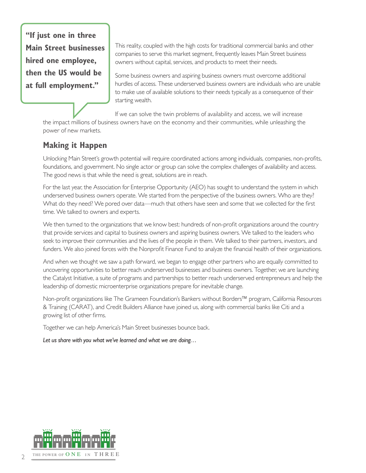**"If just one in three Main Street businesses hired one employee, then the US would be at full employment."**

This reality, coupled with the high costs for traditional commercial banks and other companies to serve this market segment, frequently leaves Main Street business owners without capital, services, and products to meet their needs.

Some business owners and aspiring business owners must overcome additional hurdles of access. These underserved business owners are individuals who are unable to make use of available solutions to their needs typically as a consequence of their starting wealth.

If we can solve the twin problems of availability and access, we will increase the impact millions of business owners have on the economy and their communities, while unleashing the power of new markets.

## **Making it Happen**

Unlocking Main Street's growth potential will require coordinated actions among individuals, companies, non-profits, foundations, and government. No single actor or group can solve the complex challenges of availability and access. The good news is that while the need is great, solutions are in reach.

For the last year, the Association for Enterprise Opportunity (AEO) has sought to understand the system in which underserved business owners operate. We started from the perspective of the business owners. Who are they? What do they need? We pored over data—much that others have seen and some that we collected for the first time. We talked to owners and experts.

We then turned to the organizations that we know best: hundreds of non-profit organizations around the country that provide services and capital to business owners and aspiring business owners. We talked to the leaders who seek to improve their communities and the lives of the people in them. We talked to their partners, investors, and funders. We also joined forces with the Nonprofit Finance Fund to analyze the financial health of their organizations.

And when we thought we saw a path forward, we began to engage other partners who are equally committed to uncovering opportunities to better reach underserved businesses and business owners. Together, we are launching the Catalyst Initiative, a suite of programs and partnerships to better reach underserved entrepreneurs and help the leadership of domestic microenterprise organizations prepare for inevitable change.

Non-profit organizations like The Grameen Foundation's Bankers without Borders™ program, California Resources & Training (CARAT), and Credit Builders Alliance have joined us, along with commercial banks like Citi and a growing list of other firms.

Together we can help America's Main Street businesses bounce back.

*Let us share with you what we've learned and what we are doing…*



 $\overline{\phantom{a}}$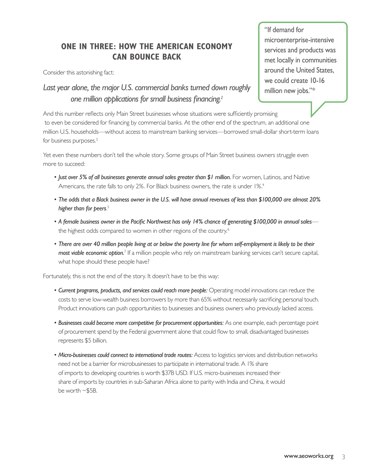#### **ONE IN THREE: HOW THE AMERICAN ECONOMY CAN BOUNCE BACK**

Consider this astonishing fact:

"If demand for microenterprise-intensive services and products was met locally in communities around the United States, we could create 10-16 million new jobs."\*

#### *Last year alone, the major U.S. commercial banks turned down roughly one million applications for small business financing.2*

And this number reflects only Main Street businesses whose situations were sufficiently promising to even be considered for financing by commercial banks. At the other end of the spectrum, an additional one million U.S. households—without access to mainstream banking services—borrowed small-dollar short-term loans for business purposes.<sup>3</sup>

Yet even these numbers don't tell the whole story. Some groups of Main Street business owners struggle even more to succeed:

- *Just over 5% of all businesses generate annual sales greater than \$1 million.* For women, Latinos, and Native Americans, the rate falls to only 2%. For Black business owners, the rate is under 1%.<sup>4</sup>
- *The odds that a Black business owner in the U.S. will have annual revenues of less than \$100,000 are almost 20% higher than for peers*. 5
- *A female business owner in the Pacific Northwest has only 14% chance of generating \$100,000 in annual sales* the highest odds compared to women in other regions of the country.<sup>6</sup>
- *There are over 40 million people living at or below the poverty line for whom self-employment is likely to be their*  most viable economic option.<sup>7</sup> If a million people who rely on mainstream banking services can't secure capital, what hope should these people have?

Fortunately, this is not the end of the story. It doesn't have to be this way:

- *Current programs, products, and services could reach more people:* Operating model innovations can reduce the costs to serve low-wealth business borrowers by more than 65% without necessarily sacrificing personal touch. Product innovations can push opportunities to businesses and business owners who previously lacked access.
- *Businesses could become more competitive for procurement opportunities:* As one example, each percentage point of procurement spend by the Federal government alone that could flow to small, disadvantaged businesses represents \$5 billion.
- *Micro-businesses could connect to international trade routes:* Access to logistics services and distribution networks need not be a barrier for microbusinesses to participate in international trade. A 1% share of imports to developing countries is worth \$37B USD. If U.S. micro-businesses increased their share of imports by countries in sub-Saharan Africa alone to parity with India and China, it would be worth ~\$5B.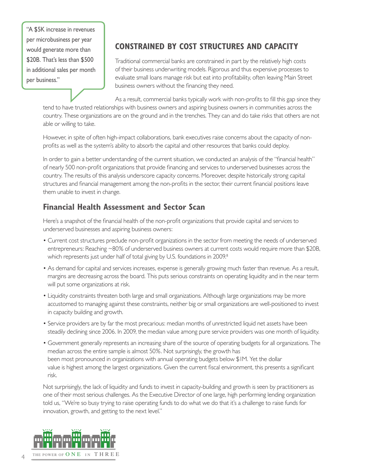"A \$5K increase in revenues per microbusiness per year would generate more than \$20B. That's less than \$500 in additional sales per month per business."

## **CONSTRAINED BY COST STRUCTURES AND CAPACITY**

Traditional commercial banks are constrained in part by the relatively high costs of their business underwriting models. Rigorous and thus expensive processes to evaluate small loans manage risk but eat into profitability, often leaving Main Street business owners without the financing they need.

As a result, commercial banks typically work with non-profits to fill this gap since they tend to have trusted relationships with business owners and aspiring business owners in communities across the country. These organizations are on the ground and in the trenches. They can and do take risks that others are not able or willing to take.

However, in spite of often high-impact collaborations, bank executives raise concerns about the capacity of nonprofits as well as the system's ability to absorb the capital and other resources that banks could deploy.

In order to gain a better understanding of the current situation, we conducted an analysis of the "financial health" of nearly 500 non-profit organizations that provide financing and services to underserved businesses across the country. The results of this analysis underscore capacity concerns. Moreover, despite historically strong capital structures and financial management among the non-profits in the sector, their current financial positions leave them unable to invest in change.

#### **Financial Health Assessment and Sector Scan**

Here's a snapshot of the financial health of the non-profit organizations that provide capital and services to underserved businesses and aspiring business owners:

- Current cost structures preclude non-profit organizations in the sector from meeting the needs of underserved entrepreneurs: Reaching ~80% of underserved business owners at current costs would require more than \$20B, which represents just under half of total giving by U.S. foundations in 2009.<sup>8</sup>
- As demand for capital and services increases, expense is generally growing much faster than revenue. As a result, margins are decreasing across the board. This puts serious constraints on operating liquidity and in the near term will put some organizations at risk.
- Liquidity constraints threaten both large and small organizations. Although large organizations may be more accustomed to managing against these constraints, neither big or small organizations are well-positioned to invest in capacity building and growth.
- Service providers are by far the most precarious: median months of unrestricted liquid net assets have been steadily declining since 2006. In 2009, the median value among pure service providers was one month of liquidity.
- Government generally represents an increasing share of the source of operating budgets for all organizations. The median across the entire sample is almost 50%. Not surprisingly, the growth has been most pronounced in organizations with annual operating budgets below \$1M. Yet the dollar value is highest among the largest organizations. Given the current fiscal environment, this presents a significant risk.

Not surprisingly, the lack of liquidity and funds to invest in capacity-building and growth is seen by practitioners as one of their most serious challenges. As the Executive Director of one large, high performing lending organization told us, "We're so busy trying to raise operating funds to do what we do that it's a challenge to raise funds for innovation, growth, and getting to the next level."

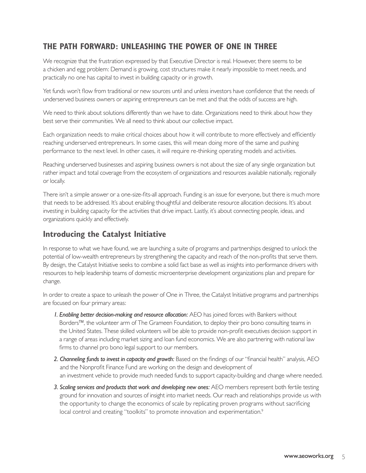#### **THE PATH FORWARD: UNLEASHING THE POWER OF ONE IN THREE**

We recognize that the frustration expressed by that Executive Director is real. However, there seems to be a chicken and egg problem: Demand is growing, cost structures make it nearly impossible to meet needs, and practically no one has capital to invest in building capacity or in growth.

Yet funds won't flow from traditional or new sources until and unless investors have confidence that the needs of underserved business owners or aspiring entrepreneurs can be met and that the odds of success are high.

We need to think about solutions differently than we have to date. Organizations need to think about how they best serve their communities. We all need to think about our collective impact.

Each organization needs to make critical choices about how it will contribute to more effectively and efficiently reaching underserved entrepreneurs. In some cases, this will mean doing more of the same and pushing performance to the next level. In other cases, it will require re-thinking operating models and activities.

Reaching underserved businesses and aspiring business owners is not about the size of any single organization but rather impact and total coverage from the ecosystem of organizations and resources available nationally, regionally or locally.

There isn't a simple answer or a one-size-fits-all approach. Funding is an issue for everyone, but there is much more that needs to be addressed. It's about enabling thoughtful and deliberate resource allocation decisions. It's about investing in building capacity for the activities that drive impact. Lastly, it's about connecting people, ideas, and organizations quickly and effectively.

#### **Introducing the Catalyst Initiative**

In response to what we have found, we are launching a suite of programs and partnerships designed to unlock the potential of low-wealth entrepreneurs by strengthening the capacity and reach of the non-profits that serve them. By design, the Catalyst Initiative seeks to combine a solid fact base as well as insights into performance drivers with resources to help leadership teams of domestic microenterprise development organizations plan and prepare for change.

In order to create a space to unleash the power of One in Three, the Catalyst Initiative programs and partnerships are focused on four primary areas:

- *1. Enabling better decision-making and resource allocation:* AEO has joined forces with Bankers without Borders™, the volunteer arm of The Grameen Foundation, to deploy their pro bono consulting teams in the United States. These skilled volunteers will be able to provide non-profit executives decision support in a range of areas including market sizing and loan fund economics. We are also partnering with national law firms to channel pro bono legal support to our members.
- *2. Channeling funds to invest in capacity and growth:* Based on the findings of our "financial health" analysis, AEO and the Nonprofit Finance Fund are working on the design and development of an investment vehicle to provide much needed funds to support capacity-building and change where needed.
- *3. Scaling services and products that work and developing new ones:* AEO members represent both fertile testing ground for innovation and sources of insight into market needs. Our reach and relationships provide us with the opportunity to change the economics of scale by replicating proven programs without sacrificing local control and creating "toolkits" to promote innovation and experimentation.<sup>9</sup>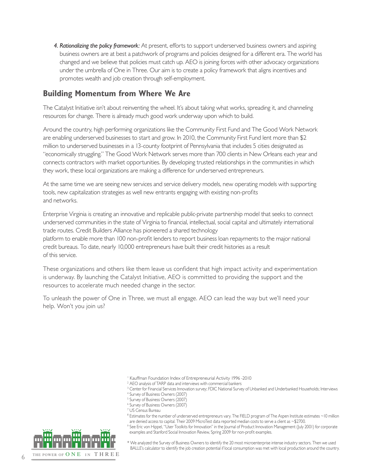*4. Rationalizing the policy framework:* At present, efforts to support underserved business owners and aspiring business owners are at best a patchwork of programs and policies designed for a different era. The world has changed and we believe that policies must catch up. AEO is joining forces with other advocacy organizations under the umbrella of One in Three. Our aim is to create a policy framework that aligns incentives and promotes wealth and job creation through self-employment.

#### **Building Momentum from Where We Are**

The Catalyst Initiative isn't about reinventing the wheel. It's about taking what works, spreading it, and channeling resources for change. There is already much good work underway upon which to build.

Around the country, high performing organizations like the Community First Fund and The Good Work Network are enabling underserved businesses to start and grow. In 2010, the Community First Fund lent more than \$2 million to underserved businesses in a 13-county footprint of Pennsylvania that includes 5 cities designated as "economically struggling." The Good Work Network serves more than 700 clients in New Orleans each year and connects contractors with market opportunities. By developing trusted relationships in the communities in which they work, these local organizations are making a difference for underserved entrepreneurs.

At the same time we are seeing new services and service delivery models, new operating models with supporting tools, new capitalization strategies as well new entrants engaging with existing non-profits and networks.

Enterprise Virginia is creating an innovative and replicable public-private partnership model that seeks to connect underserved communities in the state of Virginia to financial, intellectual, social capital and ultimately international trade routes. Credit Builders Alliance has pioneered a shared technology

platform to enable more than 100 non-profit lenders to report business loan repayments to the major national credit bureaus. To date, nearly 10,000 entrepreneurs have built their credit histories as a result of this service.

These organizations and others like them leave us confident that high impact activity and experimentation is underway. By launching the Catalyst Initiative, AEO is committed to providing the support and the resources to accelerate much needed change in the sector.

To unleash the power of One in Three, we must all engage. AEO can lead the way but we'll need your help. Won't you join us?

- <sup>1</sup> Kauffman Foundation Index of Entrepreneurial Activity 1996 -2010
- 2 AEO analysis of TARP data and interviews with commercial bankers
- <sup>3</sup> Center for Financial Services Innovation survey; FDIC National Survey of Unbanked and Underbanked Households; Interviews
- 4 Survey of Business Owners (2007)
- 5 Survey of Business Owners (2007)
- 6 Survey of Business Owners (2007)
- 7 US Census Bureau
- 8 Estimates for the number of underserved entrepreneurs vary. The FIELD program of The Aspen Institute estimates ~10 million are denied access to capital. Their 2009 MicroTest data reported median costs to serve a client as ~\$2700.
- <sup>9</sup> See Eric von Hippel, "User Toolkits for Innovation" in the Journal of Product Innovation Management (July 2001) for corporate examples and Stanford Social Innovation Review, Spring 2009 for non-profit examples.



6

\* We analyzed the Survey of Business Owners to identify the 20 most microenterprise intense industry sectors. Then we used BALLE's calculator to identify the job creation potential if local consumption was met with local production around the country.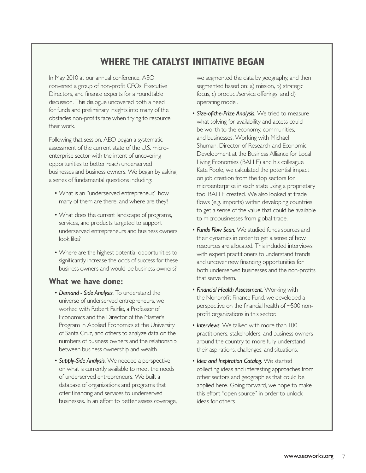## **WHERE THE CATALYST INITIATIVE BEGAN**

In May 2010 at our annual conference, AEO convened a group of non-profit CEOs, Executive Directors, and finance experts for a roundtable discussion. This dialogue uncovered both a need for funds and preliminary insights into many of the obstacles non-profits face when trying to resource their work.

Following that session, AEO began a systematic assessment of the current state of the U.S. microenterprise sector with the intent of uncovering opportunities to better reach underserved businesses and business owners. We began by asking a series of fundamental questions including:

- What is an "underserved entrepreneur," how many of them are there, and where are they?
- What does the current landscape of programs, services, and products targeted to support underserved entrepreneurs and business owners look like?
- Where are the highest potential opportunities to significantly increase the odds of success for these business owners and would-be business owners?

#### **What we have done:**

- *Demand Side Analysis.* To understand the universe of underserved entrepreneurs, we worked with Robert Fairlie, a Professor of Economics and the Director of the Master's Program in Applied Economics at the University of Santa Cruz, and others to analyze data on the numbers of business owners and the relationship between business ownership and wealth.
- *Supply-Side Analysis.* We needed a perspective on what is currently available to meet the needs of underserved entrepreneurs. We built a database of organizations and programs that offer financing and services to underserved businesses. In an effort to better assess coverage,

we segmented the data by geography, and then segmented based on: a) mission, b) strategic focus, c) product/service offerings, and d) operating model.

- *Size-of-the-Prize Analysis.* We tried to measure what solving for availability and access could be worth to the economy, communities, and businesses. Working with Michael Shuman, Director of Research and Economic Development at the Business Alliance for Local Living Economies (BALLE) and his colleague Kate Poole, we calculated the potential impact on job creation from the top sectors for microenterprise in each state using a proprietary tool BALLE created. We also looked at trade flows (e.g. imports) within developing countries to get a sense of the value that could be available to microbusinesses from global trade.
- *Funds Flow Scan.* We studied funds sources and their dynamics in order to get a sense of how resources are allocated. This included interviews with expert practitioners to understand trends and uncover new financing opportunities for both underserved businesses and the non-profits that serve them.
- *Financial Health Assessment.* Working with the Nonprofit Finance Fund, we developed a perspective on the financial health of ~500 nonprofit organizations in this sector.
- *Interviews.* We talked with more than 100 practitioners, stakeholders, and business owners around the country to more fully understand their aspirations, challenges, and situations.
- *Idea and Inspiration Catalog.* We started collecting ideas and interesting approaches from other sectors and geographies that could be applied here. Going forward, we hope to make this effort "open source" in order to unlock ideas for others.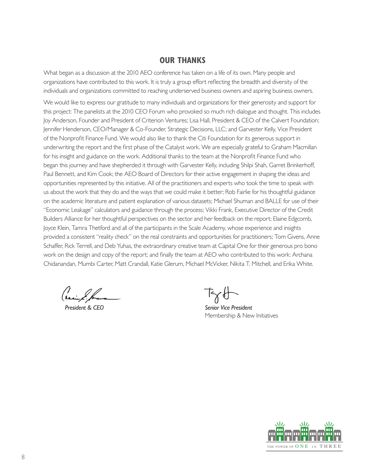#### **OUR THANKS**

What began as a discussion at the 2010 AEO conference has taken on a life of its own. Many people and organizations have contributed to this work. It is truly a group effort reflecting the breadth and diversity of the individuals and organizations committed to reaching underserved business owners and aspiring business owners.

We would like to express our gratitude to many individuals and organizations for their generosity and support for this project: The panelists at the 2010 CEO Forum who provoked so much rich dialogue and thought. This includes Joy Anderson, Founder and President of Criterion Ventures; Lisa Hall, President & CEO of the Calvert Foundation; Jennifer Henderson, CEO/Manager & Co-Founder, Strategic Decisions, LLC; and Garvester Kelly, Vice President of the Nonprofit Finance Fund. We would also like to thank the Citi Foundation for its generous support in underwriting the report and the first phase of the Catalyst work. We are especially grateful to Graham Macmillan for his insight and guidance on the work. Additional thanks to the team at the Nonprofit Finance Fund who began this journey and have shepherded it through with Garvester Kelly, including Shilpi Shah, Garret Brinkerhoff, Paul Bennett, and Kim Cook; the AEO Board of Directors for their active engagement in shaping the ideas and opportunities represented by this initiative. All of the practitioners and experts who took the time to speak with us about the work that they do and the ways that we could make it better; Rob Fairlie for his thoughtful guidance on the academic literature and patient explanation of various datasets; Michael Shuman and BALLE for use of their "Economic Leakage" calculators and guidance through the process; Vikki Frank, Executive Director of the Credit Builders Alliance for her thoughtful perspectives on the sector and her feedback on the report; Elaine Edgcomb, Joyce Klein, Tamra Thetford and all of the participants in the Scale Academy, whose experience and insights provided a consistent "reality check" on the real constraints and opportunities for practitioners; Tom Givens, Anne Schaffer, Rick Terrell, and Deb Yuhas, the extraordinary creative team at Capital One for their generous pro bono work on the design and copy of the report; and finally the team at AEO who contributed to this work: Archana Chidanandan, Mumbi Carter, Matt Crandall, Katie Glerum, Michael McVicker, Nikita T. Mitchell, and Erika White.

Connie Et ans Tammy A. Halevy A. Halevy A. Halevy A. Halevy A. Halevy A. Halevy A. Senior Vice F

**Senior Vice President** Membership & New Initiatives